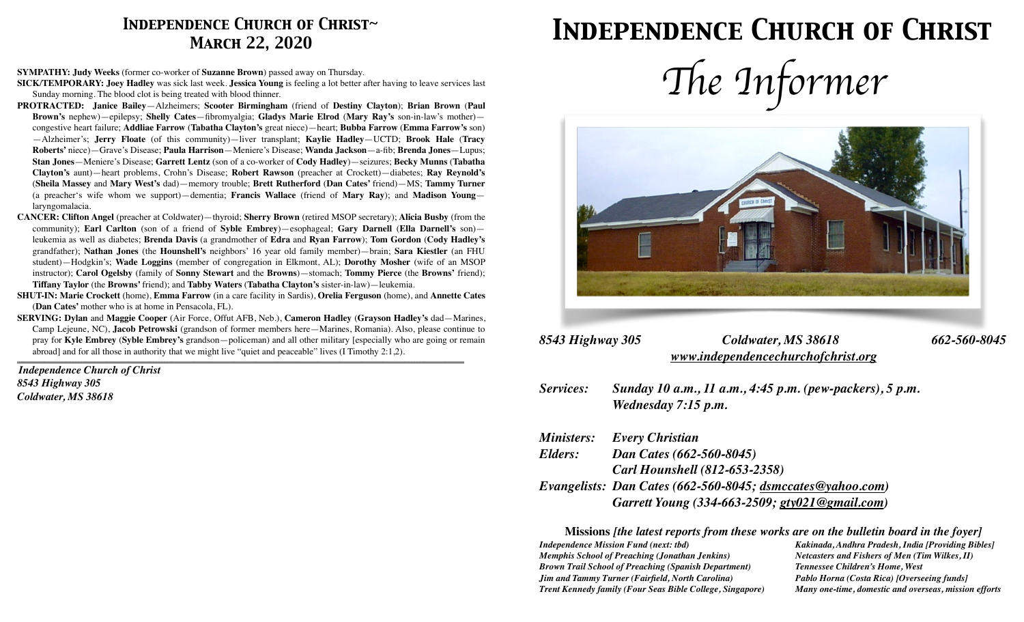# *Independence Church of Christ~ March 22, 2020*

#### **SYMPATHY: Judy Weeks** (former co-worker of **Suzanne Brown**) passed away on Thursday.

**SICK/TEMPORARY: Joey Hadley** was sick last week. **Jessica Young** is feeling a lot better after having to leave services last Sunday morning. The blood clot is being treated with blood thinner.

- **PROTRACTED: Janice Bailey**—Alzheimers; **Scooter Birmingham** (friend of **Destiny Clayton**); **Brian Brown** (**Paul Brown's** nephew)—epilepsy; **Shelly Cates**—fibromyalgia; **Gladys Marie Elrod** (**Mary Ray's** son-in-law's mother) congestive heart failure; **Addliae Farrow** (**Tabatha Clayton's** great niece)—heart; **Bubba Farrow** (**Emma Farrow's** son) —Alzheimer's; **Jerry Floate** (of this community)—liver transplant; **Kaylie Hadley**—UCTD; **Brook Hale** (**Tracy Roberts'** niece)—Grave's Disease; **Paula Harrison**—Meniere's Disease; **Wanda Jackson**—a-fib; **Brenda Jones**—Lupus; **Stan Jones**—Meniere's Disease; **Garrett Lentz** (son of a co-worker of **Cody Hadley**)—seizures; **Becky Munns** (**Tabatha Clayton's** aunt)—heart problems, Crohn's Disease; **Robert Rawson** (preacher at Crockett)—diabetes; **Ray Reynold's**  (**Sheila Massey** and **Mary West's** dad)—memory trouble; **Brett Rutherford** (**Dan Cates'** friend)—MS; **Tammy Turner**  (a preacher's wife whom we support)—dementia; **Francis Wallace** (friend of **Mary Ray**); and **Madison Young** laryngomalacia.
- **CANCER: Clifton Angel** (preacher at Coldwater)—thyroid; **Sherry Brown** (retired MSOP secretary); **Alicia Busby** (from the community); **Earl Carlton** (son of a friend of **Syble Embrey**)—esophageal; **Gary Darnell** (**Ella Darnell's** son) leukemia as well as diabetes; **Brenda Davis** (a grandmother of **Edra** and **Ryan Farrow**); **Tom Gordon** (**Cody Hadley's**  grandfather); **Nathan Jones** (the **Hounshell's** neighbors' 16 year old family member)—brain; **Sara Kiestler** (an FHU student)—Hodgkin's; **Wade Loggins** (member of congregation in Elkmont, AL); **Dorothy Mosher** (wife of an MSOP instructor); **Carol Ogelsby** (family of **Sonny Stewart** and the **Browns**)—stomach; **Tommy Pierce** (the **Browns'** friend); **Tiffany Taylor** (the **Browns'** friend); and **Tabby Waters** (**Tabatha Clayton's** sister-in-law)—leukemia.
- **SHUT-IN: Marie Crockett** (home), **Emma Farrow** (in a care facility in Sardis), **Orelia Ferguson** (home), and **Annette Cates**  (**Dan Cates'** mother who is at home in Pensacola, FL).
- **SERVING: Dylan** and **Maggie Cooper** (Air Force, Offut AFB, Neb.), **Cameron Hadley** (**Grayson Hadley's** dad—Marines, Camp Lejeune, NC), **Jacob Petrowski** (grandson of former members here—Marines, Romania). Also, please continue to pray for **Kyle Embrey** (**Syble Embrey's** grandson—policeman) and all other military [especially who are going or remain abroad] and for all those in authority that we might live "quiet and peaceable" lives (I Timothy 2:1,2).

*\_\_\_\_\_\_\_\_\_\_\_\_\_\_\_\_\_\_\_\_\_\_\_\_\_\_\_\_\_\_\_\_\_\_\_\_\_\_\_\_\_\_\_\_\_\_\_\_\_\_\_\_\_\_\_\_\_\_\_\_\_\_\_\_\_\_\_\_\_\_\_\_\_\_\_\_\_\_\_\_\_\_\_\_\_\_\_\_\_\_\_\_\_\_\_\_\_\_\_\_\_\_\_\_\_\_\_\_\_\_\_\_\_\_\_\_\_\_\_\_\_\_\_\_\_\_\_\_\_\_\_\_\_\_\_\_\_\_\_\_\_\_\_\_\_\_\_\_\_\_\_\_\_\_\_\_\_\_\_\_\_\_\_\_\_*

*Independence Church of Christ 8543 Highway 305 Coldwater, MS 38618*

# *Independence Church of Christ*





# *8543 Highway 305 Coldwater, MS 38618 662-560-8045 [www.independencechurchofchrist.org](http://www.independencechurchofchrist.org)*

*Services: Sunday 10 a.m., 11 a.m., 4:45 p.m. (pew-packers), 5 p.m. Wednesday 7:15 p.m.*

| Ministers: | <b>Every Christian</b>                                     |
|------------|------------------------------------------------------------|
| Elders:    | Dan Cates (662-560-8045)                                   |
|            | <b>Carl Hounshell (812-653-2358)</b>                       |
|            | Evangelists: Dan Cates (662-560-8045; dsmccates@yahoo.com) |
|            | Garrett Young (334-663-2509; gty021@gmail.com)             |

**Missions** *[the latest reports from these works are on the bulletin board in the foyer] Independence Mission Fund (next: tbd) Kakinada, Andhra Pradesh, India [Providing Bibles] Memphis School of Preaching (Jonathan Jenkins) Netcasters and Fishers of Men (Tim Wilkes, II) Brown Trail School of Preaching (Spanish Department) Tennessee Children's Home, West Jim and Tammy Turner (Fairfield, North Carolina) Pablo Horna (Costa Rica) [Overseeing funds] Trent Kennedy family (Four Seas Bible College, Singapore) Many one-time, domestic and overseas, mission efforts*